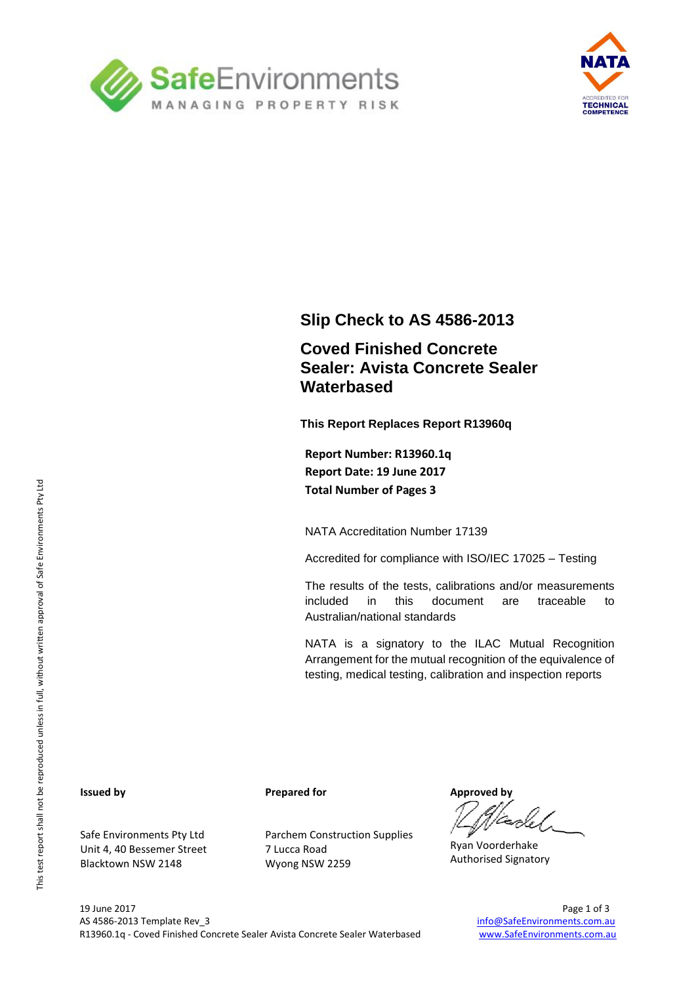



### **Slip Check to AS 4586-2013**

## **Coved Finished Concrete Sealer: Avista Concrete Sealer Waterbased**

**This Report Replaces Report R13960q**

**Report Number: R13960.1q Report Date: 19 June 2017 Total Number of Pages 3**

NATA Accreditation Number 17139

Accredited for compliance with ISO/IEC 17025 – Testing

The results of the tests, calibrations and/or measurements included in this document are traceable to Australian/national standards

NATA is a signatory to the ILAC Mutual Recognition Arrangement for the mutual recognition of the equivalence of testing, medical testing, calibration and inspection reports

#### **Issued by**

Safe Environments Pty Ltd Unit 4, 40 Bessemer Street Blacktown NSW 2148

**Prepared for**

Parchem Construction Supplies 7 Lucca Road Wyong NSW 2259

**Approved by**

Ryan Voorderhake Authorised Signatory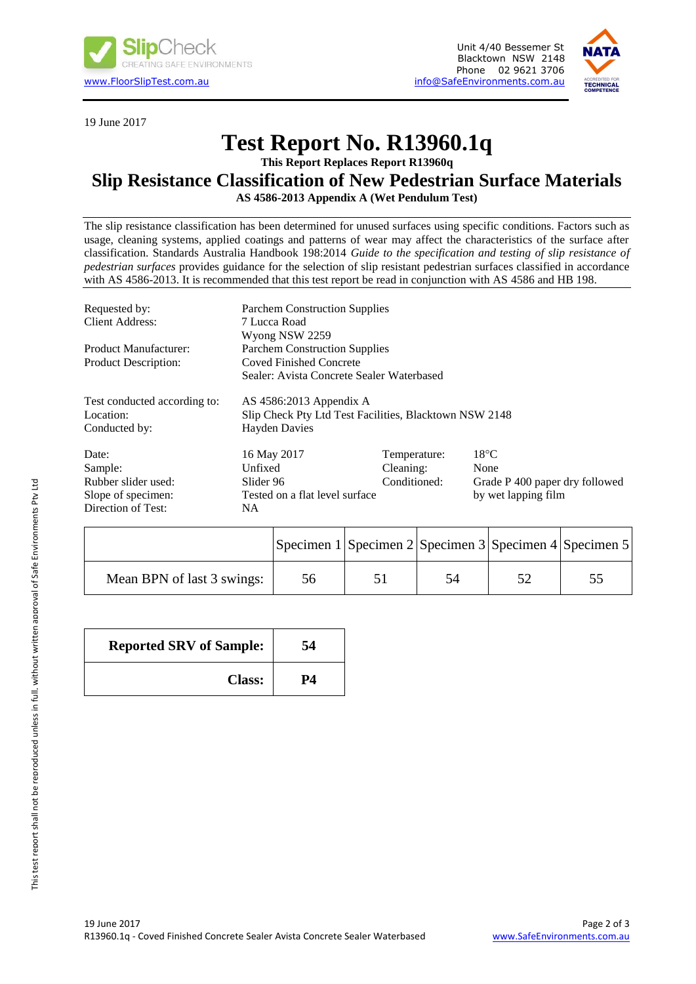

19 June 2017





# **Test Report No. R13960.1q**

### **This Report Replaces Report R13960q**

#### **Slip Resistance Classification of New Pedestrian Surface Materials AS 4586-2013 Appendix A (Wet Pendulum Test)**

The slip resistance classification has been determined for unused surfaces using specific conditions. Factors such as

usage, cleaning systems, applied coatings and patterns of wear may affect the characteristics of the surface after classification. Standards Australia Handbook 198:2014 *Guide to the specification and testing of slip resistance of pedestrian surfaces* provides guidance for the selection of slip resistant pedestrian surfaces classified in accordance with AS 4586-2013. It is recommended that this test report be read in conjunction with AS 4586 and HB 198.

| Requested by:                | <b>Parchem Construction Supplies</b>                   |              |                                |  |  |
|------------------------------|--------------------------------------------------------|--------------|--------------------------------|--|--|
| Client Address:              | 7 Lucca Road                                           |              |                                |  |  |
|                              | Wyong NSW 2259                                         |              |                                |  |  |
| Product Manufacturer:        | <b>Parchem Construction Supplies</b>                   |              |                                |  |  |
| <b>Product Description:</b>  | <b>Coved Finished Concrete</b>                         |              |                                |  |  |
|                              | Sealer: Avista Concrete Sealer Waterbased              |              |                                |  |  |
| Test conducted according to: | AS $4586:2013$ Appendix A                              |              |                                |  |  |
| Location:                    | Slip Check Pty Ltd Test Facilities, Blacktown NSW 2148 |              |                                |  |  |
| Conducted by:                | <b>Hayden Davies</b>                                   |              |                                |  |  |
| Date:                        | 16 May 2017                                            | Temperature: | $18^{\circ}$ C                 |  |  |
| Sample:                      | Unfixed                                                | Cleaning:    | None                           |  |  |
| Rubber slider used:          | Slider 96                                              | Conditioned: | Grade P 400 paper dry followed |  |  |
| Slope of specimen:           | Tested on a flat level surface                         |              | by wet lapping film            |  |  |
| Direction of Test:           | NΑ                                                     |              |                                |  |  |

|                            | Specimen $1$ Specimen $2$ Specimen $3$ Specimen $4$ Specimen 5 |  |  |
|----------------------------|----------------------------------------------------------------|--|--|
| Mean BPN of last 3 swings: | 56                                                             |  |  |

| <b>Reported SRV of Sample:</b> | 54 |  |
|--------------------------------|----|--|
| <b>Class:</b>                  | P4 |  |